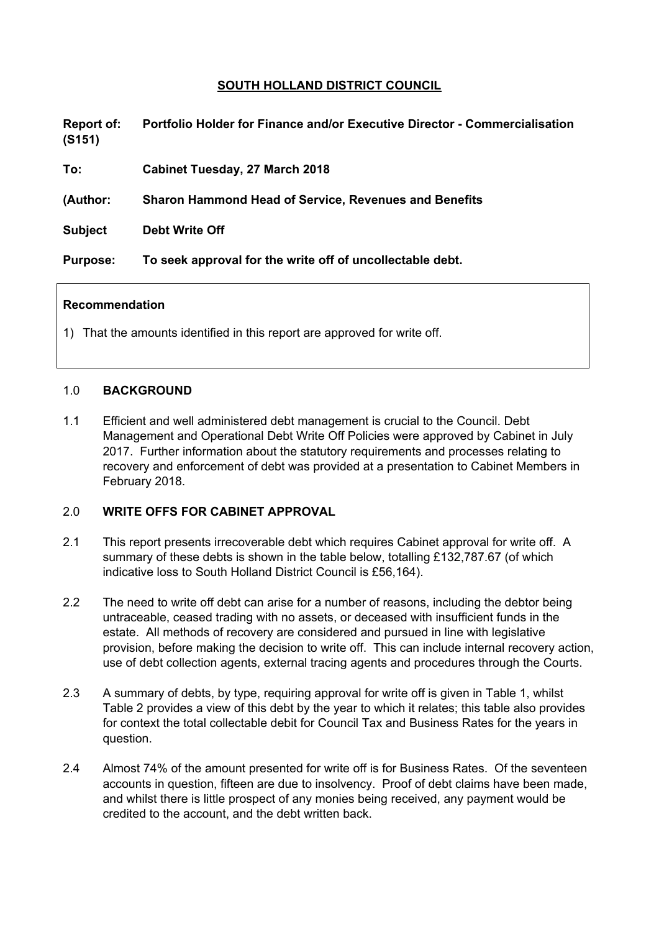# **SOUTH HOLLAND DISTRICT COUNCIL**

**Report of: Portfolio Holder for Finance and/or Executive Director - Commercialisation (S151)**

**To: Cabinet Tuesday, 27 March 2018**

**(Author: Sharon Hammond Head of Service, Revenues and Benefits**

**Subject Debt Write Off**

**Purpose: To seek approval for the write off of uncollectable debt.**

#### **Recommendation**

1) That the amounts identified in this report are approved for write off.

#### 1.0 **BACKGROUND**

1.1 Efficient and well administered debt management is crucial to the Council. Debt Management and Operational Debt Write Off Policies were approved by Cabinet in July 2017. Further information about the statutory requirements and processes relating to recovery and enforcement of debt was provided at a presentation to Cabinet Members in February 2018.

### 2.0 **WRITE OFFS FOR CABINET APPROVAL**

- 2.1 This report presents irrecoverable debt which requires Cabinet approval for write off. A summary of these debts is shown in the table below, totalling £132,787.67 (of which indicative loss to South Holland District Council is £56,164).
- 2.2 The need to write off debt can arise for a number of reasons, including the debtor being untraceable, ceased trading with no assets, or deceased with insufficient funds in the estate. All methods of recovery are considered and pursued in line with legislative provision, before making the decision to write off. This can include internal recovery action, use of debt collection agents, external tracing agents and procedures through the Courts.
- 2.3 A summary of debts, by type, requiring approval for write off is given in Table 1, whilst Table 2 provides a view of this debt by the year to which it relates; this table also provides for context the total collectable debit for Council Tax and Business Rates for the years in question.
- 2.4 Almost 74% of the amount presented for write off is for Business Rates. Of the seventeen accounts in question, fifteen are due to insolvency. Proof of debt claims have been made, and whilst there is little prospect of any monies being received, any payment would be credited to the account, and the debt written back.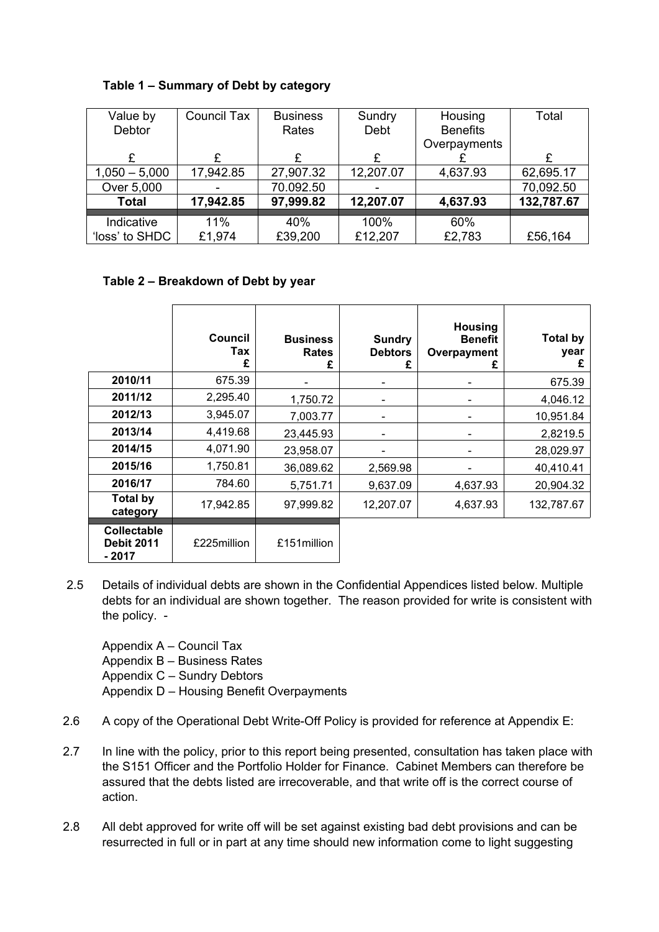| Value by        | Council Tax | <b>Business</b> | Sundry    | Housing         | Total      |
|-----------------|-------------|-----------------|-----------|-----------------|------------|
| <b>Debtor</b>   |             | Rates           | Debt      | <b>Benefits</b> |            |
|                 |             |                 |           | Overpayments    |            |
| £               |             | £               | £         |                 |            |
| $1,050 - 5,000$ | 17,942.85   | 27,907.32       | 12,207.07 | 4,637.93        | 62,695.17  |
| Over 5,000      |             | 70.092.50       |           |                 | 70,092.50  |
| <b>Total</b>    | 17,942.85   | 97,999.82       | 12,207.07 | 4,637.93        | 132,787.67 |
|                 |             |                 |           |                 |            |
| Indicative      | 11%         | 40%             | 100%      | 60%             |            |
| 'loss' to SHDC  | £1,974      | £39,200         | £12,207   | £2,783          | £56,164    |

# **Table 1 – Summary of Debt by category**

## **Table 2 – Breakdown of Debt by year**

|                                                   | Council<br>Tax<br>£ | <b>Business</b><br><b>Rates</b> | <b>Sundry</b><br><b>Debtors</b><br>£ | <b>Housing</b><br><b>Benefit</b><br>Overpayment<br>£ | <b>Total by</b><br>year<br>£ |
|---------------------------------------------------|---------------------|---------------------------------|--------------------------------------|------------------------------------------------------|------------------------------|
| 2010/11                                           | 675.39              |                                 |                                      | -                                                    | 675.39                       |
| 2011/12                                           | 2,295.40            | 1,750.72                        |                                      | $\overline{\phantom{a}}$                             | 4,046.12                     |
| 2012/13                                           | 3,945.07            | 7,003.77                        |                                      |                                                      | 10,951.84                    |
| 2013/14                                           | 4,419.68            | 23,445.93                       |                                      | $\overline{\phantom{a}}$                             | 2,8219.5                     |
| 2014/15                                           | 4,071.90            | 23,958.07                       |                                      |                                                      | 28,029.97                    |
| 2015/16                                           | 1,750.81            | 36,089.62                       | 2,569.98                             | $\qquad \qquad$                                      | 40,410.41                    |
| 2016/17                                           | 784.60              | 5,751.71                        | 9,637.09                             | 4,637.93                                             | 20,904.32                    |
| <b>Total by</b><br>category                       | 17,942.85           | 97,999.82                       | 12,207.07                            | 4,637.93                                             | 132,787.67                   |
| <b>Collectable</b><br><b>Debit 2011</b><br>- 2017 | £225million         | £151 million                    |                                      |                                                      |                              |

2.5 Details of individual debts are shown in the Confidential Appendices listed below. Multiple debts for an individual are shown together. The reason provided for write is consistent with the policy. -

Appendix A – Council Tax Appendix B – Business Rates Appendix C – Sundry Debtors Appendix D – Housing Benefit Overpayments

- 2.6 A copy of the Operational Debt Write-Off Policy is provided for reference at Appendix E:
- 2.7 In line with the policy, prior to this report being presented, consultation has taken place with the S151 Officer and the Portfolio Holder for Finance. Cabinet Members can therefore be assured that the debts listed are irrecoverable, and that write off is the correct course of action.
- 2.8 All debt approved for write off will be set against existing bad debt provisions and can be resurrected in full or in part at any time should new information come to light suggesting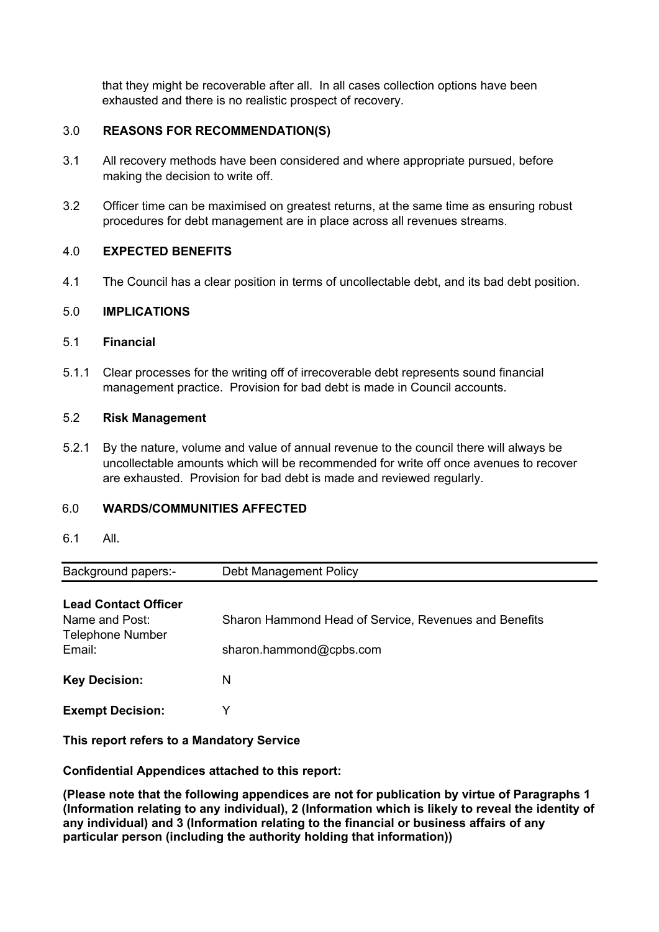that they might be recoverable after all. In all cases collection options have been exhausted and there is no realistic prospect of recovery.

# 3.0 **REASONS FOR RECOMMENDATION(S)**

- 3.1 All recovery methods have been considered and where appropriate pursued, before making the decision to write off.
- 3.2 Officer time can be maximised on greatest returns, at the same time as ensuring robust procedures for debt management are in place across all revenues streams.

## 4.0 **EXPECTED BENEFITS**

4.1 The Council has a clear position in terms of uncollectable debt, and its bad debt position.

### 5.0 **IMPLICATIONS**

### 5.1 **Financial**

5.1.1 Clear processes for the writing off of irrecoverable debt represents sound financial management practice. Provision for bad debt is made in Council accounts.

## 5.2 **Risk Management**

5.2.1 By the nature, volume and value of annual revenue to the council there will always be uncollectable amounts which will be recommended for write off once avenues to recover are exhausted. Provision for bad debt is made and reviewed regularly.

## 6.0 **WARDS/COMMUNITIES AFFECTED**

6.1 All.

| <b>Background papers:-</b> | Debt Management Policy |  |  |
|----------------------------|------------------------|--|--|
| $\sim$ $\sim$              |                        |  |  |

| <b>Lead Contact Officer</b> |    |
|-----------------------------|----|
| Namo and Doot:              | C۲ |

| Name and Post:<br><b>Telephone Number</b> | Sharon Hammond Head of Service, Revenues and Benefits |
|-------------------------------------------|-------------------------------------------------------|
| Email:<br><b>Key Decision:</b>            | sharon.hammond@cpbs.com<br>N                          |
| <b>Exempt Decision:</b>                   |                                                       |

**This report refers to a Mandatory Service**

**Confidential Appendices attached to this report:**

**(Please note that the following appendices are not for publication by virtue of Paragraphs 1 (Information relating to any individual), 2 (Information which is likely to reveal the identity of any individual) and 3 (Information relating to the financial or business affairs of any particular person (including the authority holding that information))**